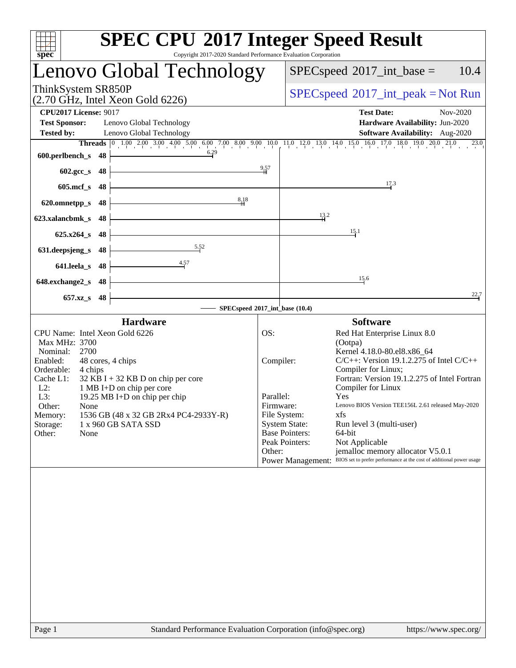| <b>SPEC CPU®2017 Integer Speed Result</b><br>spec <sup>®</sup><br>Copyright 2017-2020 Standard Performance Evaluation Corporation                                                                                                                                                                        |                                                                                                                                            |                                                                      |                                                                 |                                                                                                                                                                                                                                                                                                                                                                                                                                                                                       |          |  |
|----------------------------------------------------------------------------------------------------------------------------------------------------------------------------------------------------------------------------------------------------------------------------------------------------------|--------------------------------------------------------------------------------------------------------------------------------------------|----------------------------------------------------------------------|-----------------------------------------------------------------|---------------------------------------------------------------------------------------------------------------------------------------------------------------------------------------------------------------------------------------------------------------------------------------------------------------------------------------------------------------------------------------------------------------------------------------------------------------------------------------|----------|--|
| <b>Lenovo Global Technology</b>                                                                                                                                                                                                                                                                          |                                                                                                                                            |                                                                      |                                                                 | $SPEC speed^{\circ}2017\_int\_base =$                                                                                                                                                                                                                                                                                                                                                                                                                                                 | 10.4     |  |
| ThinkSystem SR850P<br>$(2.70 \text{ GHz}, \text{Intel Xeon Gold } 6226)$                                                                                                                                                                                                                                 |                                                                                                                                            |                                                                      |                                                                 | $SPEC speed^{\circ}2017\_int\_peak = Not Run$                                                                                                                                                                                                                                                                                                                                                                                                                                         |          |  |
| <b>CPU2017 License: 9017</b><br><b>Test Sponsor:</b><br><b>Tested by:</b>                                                                                                                                                                                                                                | Lenovo Global Technology<br>Lenovo Global Technology                                                                                       |                                                                      |                                                                 | <b>Test Date:</b><br>Hardware Availability: Jun-2020<br>Software Availability: Aug-2020                                                                                                                                                                                                                                                                                                                                                                                               | Nov-2020 |  |
| 600.perlbench_s $48$                                                                                                                                                                                                                                                                                     |                                                                                                                                            | $\frac{9.57}{4}$                                                     |                                                                 |                                                                                                                                                                                                                                                                                                                                                                                                                                                                                       | 23.0     |  |
| $602.\text{sec}\_\text{S}$ 48<br>$605 \text{.mcf}\,$ s 48                                                                                                                                                                                                                                                |                                                                                                                                            |                                                                      |                                                                 | 17.3                                                                                                                                                                                                                                                                                                                                                                                                                                                                                  |          |  |
| 620.omnetpp_s $48$<br>623.xalancbmk_s $48 \n\big\}$                                                                                                                                                                                                                                                      | 8,18                                                                                                                                       |                                                                      | $\frac{13}{4}$ <sup>2</sup>                                     |                                                                                                                                                                                                                                                                                                                                                                                                                                                                                       |          |  |
| $625.x264_s$ 48<br>631.deepsjeng_s $48$                                                                                                                                                                                                                                                                  | $\frac{5.52}{\sqrt{2}}$                                                                                                                    |                                                                      |                                                                 | 15.1                                                                                                                                                                                                                                                                                                                                                                                                                                                                                  |          |  |
| 641.leela_s 48 $\vert$<br>648.exchange2_s $48$                                                                                                                                                                                                                                                           | $\overline{4.57}$<br><u> 1989 - Johann Barn, mars ann an t-Amhain Aonaich an t-Aonaich an t-Aonaich an t-Aonaich an t-Aonaich an t-Aon</u> |                                                                      |                                                                 | 15.6                                                                                                                                                                                                                                                                                                                                                                                                                                                                                  |          |  |
| $657.xz$ <sub>8</sub> 48                                                                                                                                                                                                                                                                                 | <u> 1989 - Johann Barbara, martxa a</u><br>SPECspeed®2017_int_base (10.4)                                                                  |                                                                      |                                                                 |                                                                                                                                                                                                                                                                                                                                                                                                                                                                                       | 22.7     |  |
|                                                                                                                                                                                                                                                                                                          | <b>Hardware</b>                                                                                                                            |                                                                      |                                                                 | <b>Software</b>                                                                                                                                                                                                                                                                                                                                                                                                                                                                       |          |  |
| CPU Name: Intel Xeon Gold 6226<br>Max MHz: 3700<br>Nominal: 2700<br>Enabled:<br>48 cores, 4 chips<br>Orderable:<br>4 chips<br>Cache L1:<br>1 MB I+D on chip per core<br>$L2$ :<br>19.25 MB I+D on chip per chip<br>L3:<br>Other:<br>None<br>Memory:<br>1 x 960 GB SATA SSD<br>Storage:<br>Other:<br>None | $32$ KB I + 32 KB D on chip per core<br>1536 GB (48 x 32 GB 2Rx4 PC4-2933Y-R)                                                              | OS:<br>Compiler:<br>Parallel:<br>Firmware:<br>File System:<br>Other: | <b>System State:</b><br><b>Base Pointers:</b><br>Peak Pointers: | Red Hat Enterprise Linux 8.0<br>(Ootpa)<br>Kernel 4.18.0-80.el8.x86_64<br>$C/C++$ : Version 19.1.2.275 of Intel $C/C++$<br>Compiler for Linux;<br>Fortran: Version 19.1.2.275 of Intel Fortran<br>Compiler for Linux<br><b>Yes</b><br>Lenovo BIOS Version TEE156L 2.61 released May-2020<br>xfs<br>Run level 3 (multi-user)<br>64-bit<br>Not Applicable<br>jemalloc memory allocator V5.0.1<br>Power Management: BIOS set to prefer performance at the cost of additional power usage |          |  |
|                                                                                                                                                                                                                                                                                                          |                                                                                                                                            |                                                                      |                                                                 |                                                                                                                                                                                                                                                                                                                                                                                                                                                                                       |          |  |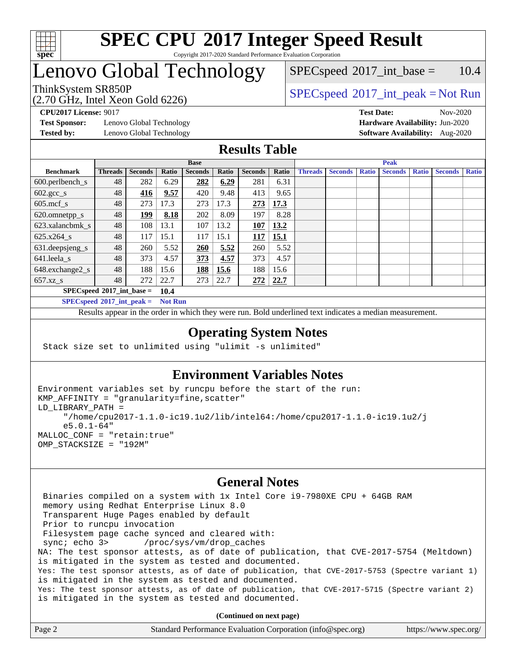

### **[SPEC CPU](http://www.spec.org/auto/cpu2017/Docs/result-fields.html#SPECCPU2017IntegerSpeedResult)[2017 Integer Speed Result](http://www.spec.org/auto/cpu2017/Docs/result-fields.html#SPECCPU2017IntegerSpeedResult)** Copyright 2017-2020 Standard Performance Evaluation Corporation

# Lenovo Global Technology

(2.70 GHz, Intel Xeon Gold 6226)

 $SPEC speed^{\circ}2017\_int\_peak = Not Run$  $SPECspeed^{\circ}2017\_int\_base = 10.4$  $SPECspeed^{\circ}2017\_int\_base = 10.4$ 

**[Test Sponsor:](http://www.spec.org/auto/cpu2017/Docs/result-fields.html#TestSponsor)** Lenovo Global Technology **[Hardware Availability:](http://www.spec.org/auto/cpu2017/Docs/result-fields.html#HardwareAvailability)** Jun-2020 **[Tested by:](http://www.spec.org/auto/cpu2017/Docs/result-fields.html#Testedby)** Lenovo Global Technology **[Software Availability:](http://www.spec.org/auto/cpu2017/Docs/result-fields.html#SoftwareAvailability)** Aug-2020

**[CPU2017 License:](http://www.spec.org/auto/cpu2017/Docs/result-fields.html#CPU2017License)** 9017 **[Test Date:](http://www.spec.org/auto/cpu2017/Docs/result-fields.html#TestDate)** Nov-2020

### **[Results Table](http://www.spec.org/auto/cpu2017/Docs/result-fields.html#ResultsTable)**

|                                     | <b>Base</b>    |                |       |                | <b>Peak</b> |                |       |                |                |              |                |              |                |              |
|-------------------------------------|----------------|----------------|-------|----------------|-------------|----------------|-------|----------------|----------------|--------------|----------------|--------------|----------------|--------------|
| <b>Benchmark</b>                    | <b>Threads</b> | <b>Seconds</b> | Ratio | <b>Seconds</b> | Ratio       | <b>Seconds</b> | Ratio | <b>Threads</b> | <b>Seconds</b> | <b>Ratio</b> | <b>Seconds</b> | <b>Ratio</b> | <b>Seconds</b> | <b>Ratio</b> |
| $600.$ perlbench_s                  | 48             | 282            | 6.29  | 282            | 6.29        | 281            | 6.31  |                |                |              |                |              |                |              |
| $602.\text{gcc}\_\text{s}$          | 48             | 416            | 9.57  | 420            | 9.48        | 413            | 9.65  |                |                |              |                |              |                |              |
| $605$ .mcf s                        | 48             | 273            | 17.3  | 273            | 17.3        | 273            | 17.3  |                |                |              |                |              |                |              |
| 620.omnetpp_s                       | 48             | 199            | 8.18  | 202            | 8.09        | 197            | 8.28  |                |                |              |                |              |                |              |
| 623.xalancbmk s                     | 48             | 108            | 13.1  | 107            | 13.2        | 107            | 13.2  |                |                |              |                |              |                |              |
| 625.x264 s                          | 48             | 117            | 15.1  | 117            | 15.1        | 117            | 15.1  |                |                |              |                |              |                |              |
| 631.deepsjeng_s                     | 48             | 260            | 5.52  | 260            | 5.52        | 260            | 5.52  |                |                |              |                |              |                |              |
| $641.$ leela_s                      | 48             | 373            | 4.57  | 373            | 4.57        | 373            | 4.57  |                |                |              |                |              |                |              |
| 648.exchange2_s                     | 48             | 188            | 15.6  | 188            | 15.6        | 188            | 15.6  |                |                |              |                |              |                |              |
| 657.xz s                            | 48             | 272            | 22.7  | 273            | 22.7        | 272            | 22.7  |                |                |              |                |              |                |              |
| $SPECspeed*2017$ int base =<br>10.4 |                |                |       |                |             |                |       |                |                |              |                |              |                |              |

**[SPECspeed](http://www.spec.org/auto/cpu2017/Docs/result-fields.html#SPECspeed2017intpeak)[2017\\_int\\_peak =](http://www.spec.org/auto/cpu2017/Docs/result-fields.html#SPECspeed2017intpeak) Not Run**

Results appear in the [order in which they were run.](http://www.spec.org/auto/cpu2017/Docs/result-fields.html#RunOrder) Bold underlined text [indicates a median measurement.](http://www.spec.org/auto/cpu2017/Docs/result-fields.html#Median)

### **[Operating System Notes](http://www.spec.org/auto/cpu2017/Docs/result-fields.html#OperatingSystemNotes)**

Stack size set to unlimited using "ulimit -s unlimited"

### **[Environment Variables Notes](http://www.spec.org/auto/cpu2017/Docs/result-fields.html#EnvironmentVariablesNotes)**

```
Environment variables set by runcpu before the start of the run:
KMP_AFFINITY = "granularity=fine,scatter"
LD_LIBRARY_PATH =
      "/home/cpu2017-1.1.0-ic19.1u2/lib/intel64:/home/cpu2017-1.1.0-ic19.1u2/j
      e5.0.1-64"
MALLOC_CONF = "retain:true"
OMP_STACKSIZE = "192M"
```
### **[General Notes](http://www.spec.org/auto/cpu2017/Docs/result-fields.html#GeneralNotes)**

 Binaries compiled on a system with 1x Intel Core i9-7980XE CPU + 64GB RAM memory using Redhat Enterprise Linux 8.0 Transparent Huge Pages enabled by default Prior to runcpu invocation Filesystem page cache synced and cleared with: sync; echo 3> /proc/sys/vm/drop\_caches NA: The test sponsor attests, as of date of publication, that CVE-2017-5754 (Meltdown) is mitigated in the system as tested and documented. Yes: The test sponsor attests, as of date of publication, that CVE-2017-5753 (Spectre variant 1) is mitigated in the system as tested and documented. Yes: The test sponsor attests, as of date of publication, that CVE-2017-5715 (Spectre variant 2) is mitigated in the system as tested and documented.

**(Continued on next page)**

| Page 2 | Standard Performance Evaluation Corporation (info@spec.org) | https://www.spec.org/ |
|--------|-------------------------------------------------------------|-----------------------|
|--------|-------------------------------------------------------------|-----------------------|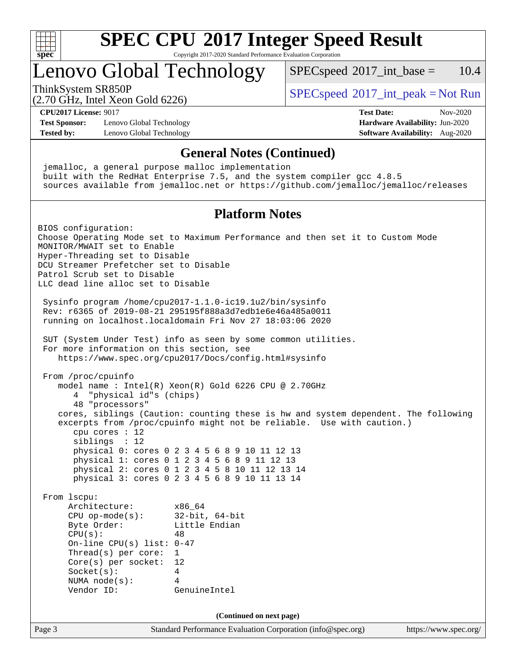

Copyright 2017-2020 Standard Performance Evaluation Corporation

# Lenovo Global Technology

 $SPECspeed^{\circ}2017\_int\_base = 10.4$  $SPECspeed^{\circ}2017\_int\_base = 10.4$ 

(2.70 GHz, Intel Xeon Gold 6226)

ThinkSystem SR850P<br>  $SPEC speed^{\circ}2017\_int\_peak = Not Run$ 

**[CPU2017 License:](http://www.spec.org/auto/cpu2017/Docs/result-fields.html#CPU2017License)** 9017 **[Test Date:](http://www.spec.org/auto/cpu2017/Docs/result-fields.html#TestDate)** Nov-2020

**[Test Sponsor:](http://www.spec.org/auto/cpu2017/Docs/result-fields.html#TestSponsor)** Lenovo Global Technology **[Hardware Availability:](http://www.spec.org/auto/cpu2017/Docs/result-fields.html#HardwareAvailability)** Jun-2020 **[Tested by:](http://www.spec.org/auto/cpu2017/Docs/result-fields.html#Testedby)** Lenovo Global Technology **[Software Availability:](http://www.spec.org/auto/cpu2017/Docs/result-fields.html#SoftwareAvailability)** Aug-2020

### **[General Notes \(Continued\)](http://www.spec.org/auto/cpu2017/Docs/result-fields.html#GeneralNotes)**

Page 3 Standard Performance Evaluation Corporation [\(info@spec.org\)](mailto:info@spec.org) <https://www.spec.org/> jemalloc, a general purpose malloc implementation built with the RedHat Enterprise 7.5, and the system compiler gcc 4.8.5 sources available from jemalloc.net or <https://github.com/jemalloc/jemalloc/releases> **[Platform Notes](http://www.spec.org/auto/cpu2017/Docs/result-fields.html#PlatformNotes)** BIOS configuration: Choose Operating Mode set to Maximum Performance and then set it to Custom Mode MONITOR/MWAIT set to Enable Hyper-Threading set to Disable DCU Streamer Prefetcher set to Disable Patrol Scrub set to Disable LLC dead line alloc set to Disable Sysinfo program /home/cpu2017-1.1.0-ic19.1u2/bin/sysinfo Rev: r6365 of 2019-08-21 295195f888a3d7edb1e6e46a485a0011 running on localhost.localdomain Fri Nov 27 18:03:06 2020 SUT (System Under Test) info as seen by some common utilities. For more information on this section, see <https://www.spec.org/cpu2017/Docs/config.html#sysinfo> From /proc/cpuinfo model name : Intel(R) Xeon(R) Gold 6226 CPU @ 2.70GHz 4 "physical id"s (chips) 48 "processors" cores, siblings (Caution: counting these is hw and system dependent. The following excerpts from /proc/cpuinfo might not be reliable. Use with caution.) cpu cores : 12 siblings : 12 physical 0: cores 0 2 3 4 5 6 8 9 10 11 12 13 physical 1: cores 0 1 2 3 4 5 6 8 9 11 12 13 physical 2: cores 0 1 2 3 4 5 8 10 11 12 13 14 physical 3: cores 0 2 3 4 5 6 8 9 10 11 13 14 From lscpu: Architecture: x86\_64 CPU op-mode(s): 32-bit, 64-bit Byte Order: Little Endian  $CPU(s):$  48 On-line CPU(s) list: 0-47 Thread(s) per core: 1 Core(s) per socket: 12 Socket(s): 4 NUMA node(s): 4 Vendor ID: GenuineIntel **(Continued on next page)**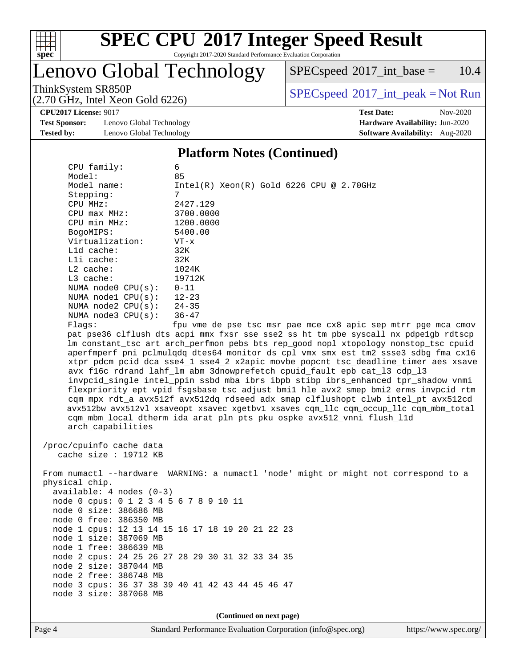

Copyright 2017-2020 Standard Performance Evaluation Corporation

# Lenovo Global Technology

 $SPECspeed^{\circledcirc}2017\_int\_base = 10.4$  $SPECspeed^{\circledcirc}2017\_int\_base = 10.4$ 

(2.70 GHz, Intel Xeon Gold 6226)

ThinkSystem SR850P<br>  $(2.70 \text{ GHz, Intel Yoon Gold } 6226)$  [SPECspeed](http://www.spec.org/auto/cpu2017/Docs/result-fields.html#SPECspeed2017intpeak)<sup>®</sup>[2017\\_int\\_peak = N](http://www.spec.org/auto/cpu2017/Docs/result-fields.html#SPECspeed2017intpeak)ot Run

**[Test Sponsor:](http://www.spec.org/auto/cpu2017/Docs/result-fields.html#TestSponsor)** Lenovo Global Technology **[Hardware Availability:](http://www.spec.org/auto/cpu2017/Docs/result-fields.html#HardwareAvailability)** Jun-2020 **[Tested by:](http://www.spec.org/auto/cpu2017/Docs/result-fields.html#Testedby)** Lenovo Global Technology **[Software Availability:](http://www.spec.org/auto/cpu2017/Docs/result-fields.html#SoftwareAvailability)** Aug-2020

**[CPU2017 License:](http://www.spec.org/auto/cpu2017/Docs/result-fields.html#CPU2017License)** 9017 **[Test Date:](http://www.spec.org/auto/cpu2017/Docs/result-fields.html#TestDate)** Nov-2020

### **[Platform Notes \(Continued\)](http://www.spec.org/auto/cpu2017/Docs/result-fields.html#PlatformNotes)**

| CPU family:<br>6                                                                     |                                                                                      |  |  |  |  |  |  |
|--------------------------------------------------------------------------------------|--------------------------------------------------------------------------------------|--|--|--|--|--|--|
| Model:                                                                               | 85                                                                                   |  |  |  |  |  |  |
| Model name:                                                                          | $Intel(R)$ Xeon $(R)$ Gold 6226 CPU @ 2.70GHz                                        |  |  |  |  |  |  |
| Stepping:                                                                            | 7                                                                                    |  |  |  |  |  |  |
| CPU MHz:                                                                             | 2427.129                                                                             |  |  |  |  |  |  |
| CPU max MHz:                                                                         | 3700.0000                                                                            |  |  |  |  |  |  |
| CPU min MHz:                                                                         | 1200.0000                                                                            |  |  |  |  |  |  |
| BogoMIPS:                                                                            | 5400.00                                                                              |  |  |  |  |  |  |
| Virtualization:                                                                      | $VT - x$                                                                             |  |  |  |  |  |  |
| Lld cache:                                                                           | 32K                                                                                  |  |  |  |  |  |  |
| Lli cache:                                                                           | 32K                                                                                  |  |  |  |  |  |  |
| $L2$ cache:                                                                          | 1024K                                                                                |  |  |  |  |  |  |
| L3 cache:                                                                            | 19712K                                                                               |  |  |  |  |  |  |
| NUMA node0 CPU(s):                                                                   | $0 - 11$                                                                             |  |  |  |  |  |  |
| NUMA nodel CPU(s):                                                                   | $12 - 23$                                                                            |  |  |  |  |  |  |
| NUMA $node2$ $CPU(s):$                                                               | $24 - 35$                                                                            |  |  |  |  |  |  |
| NUMA $node3$ $CPU(s):$                                                               | $36 - 47$                                                                            |  |  |  |  |  |  |
| Flags:                                                                               | fpu vme de pse tsc msr pae mce cx8 apic sep mtrr pge mca cmov                        |  |  |  |  |  |  |
|                                                                                      | pat pse36 clflush dts acpi mmx fxsr sse sse2 ss ht tm pbe syscall nx pdpelgb rdtscp  |  |  |  |  |  |  |
|                                                                                      | lm constant_tsc art arch_perfmon pebs bts rep_good nopl xtopology nonstop_tsc cpuid  |  |  |  |  |  |  |
|                                                                                      | aperfmperf pni pclmulqdq dtes64 monitor ds_cpl vmx smx est tm2 ssse3 sdbg fma cx16   |  |  |  |  |  |  |
|                                                                                      | xtpr pdcm pcid dca sse4_1 sse4_2 x2apic movbe popcnt tsc_deadline_timer aes xsave    |  |  |  |  |  |  |
|                                                                                      | avx f16c rdrand lahf_lm abm 3dnowprefetch cpuid_fault epb cat_13 cdp_13              |  |  |  |  |  |  |
|                                                                                      | invpcid_single intel_ppin ssbd mba ibrs ibpb stibp ibrs_enhanced tpr_shadow vnmi     |  |  |  |  |  |  |
|                                                                                      | flexpriority ept vpid fsgsbase tsc_adjust bmil hle avx2 smep bmi2 erms invpcid rtm   |  |  |  |  |  |  |
|                                                                                      | cqm mpx rdt_a avx512f avx512dq rdseed adx smap clflushopt clwb intel_pt avx512cd     |  |  |  |  |  |  |
| avx512bw avx512vl xsaveopt xsavec xgetbvl xsaves cqm_llc cqm_occup_llc cqm_mbm_total |                                                                                      |  |  |  |  |  |  |
| cqm_mbm_local dtherm ida arat pln pts pku ospke avx512_vnni flush_l1d                |                                                                                      |  |  |  |  |  |  |
| arch_capabilities                                                                    |                                                                                      |  |  |  |  |  |  |
|                                                                                      |                                                                                      |  |  |  |  |  |  |
| /proc/cpuinfo cache data                                                             |                                                                                      |  |  |  |  |  |  |
| cache size : 19712 KB                                                                |                                                                                      |  |  |  |  |  |  |
|                                                                                      |                                                                                      |  |  |  |  |  |  |
|                                                                                      | From numactl --hardware WARNING: a numactl 'node' might or might not correspond to a |  |  |  |  |  |  |
| physical chip.                                                                       |                                                                                      |  |  |  |  |  |  |
| $available: 4 nodes (0-3)$                                                           |                                                                                      |  |  |  |  |  |  |
| node 0 cpus: 0 1 2 3 4 5 6 7 8 9 10 11                                               |                                                                                      |  |  |  |  |  |  |
| node 0 size: 386686 MB                                                               |                                                                                      |  |  |  |  |  |  |
| node 0 free: 386350 MB                                                               |                                                                                      |  |  |  |  |  |  |
|                                                                                      | node 1 cpus: 12 13 14 15 16 17 18 19 20 21 22 23                                     |  |  |  |  |  |  |
| node 1 size: 387069 MB                                                               |                                                                                      |  |  |  |  |  |  |
| node 1 free: 386639 MB                                                               |                                                                                      |  |  |  |  |  |  |
|                                                                                      | node 2 cpus: 24 25 26 27 28 29 30 31 32 33 34 35                                     |  |  |  |  |  |  |
| node 2 size: 387044 MB                                                               |                                                                                      |  |  |  |  |  |  |
| node 2 free: 386748 MB                                                               |                                                                                      |  |  |  |  |  |  |
|                                                                                      | node 3 cpus: 36 37 38 39 40 41 42 43 44 45 46 47                                     |  |  |  |  |  |  |
| node 3 size: 387068 MB                                                               |                                                                                      |  |  |  |  |  |  |
|                                                                                      |                                                                                      |  |  |  |  |  |  |
|                                                                                      |                                                                                      |  |  |  |  |  |  |
| (Continued on next page)                                                             |                                                                                      |  |  |  |  |  |  |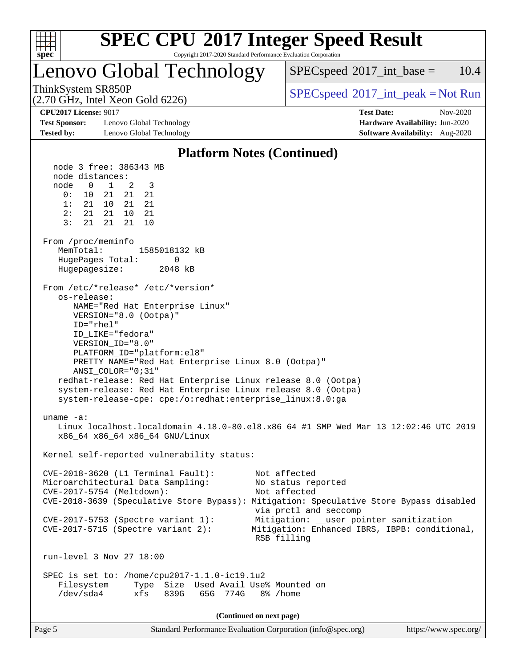

Copyright 2017-2020 Standard Performance Evaluation Corporation

# Lenovo Global Technology

 $SPECspeed^{\circ}2017\_int\_base = 10.4$  $SPECspeed^{\circ}2017\_int\_base = 10.4$ 

(2.70 GHz, Intel Xeon Gold 6226)

ThinkSystem SR850P<br>  $SPEC speed^{\circ}2017\_int\_peak = Not Run$ 

**[Test Sponsor:](http://www.spec.org/auto/cpu2017/Docs/result-fields.html#TestSponsor)** Lenovo Global Technology **[Hardware Availability:](http://www.spec.org/auto/cpu2017/Docs/result-fields.html#HardwareAvailability)** Jun-2020 **[Tested by:](http://www.spec.org/auto/cpu2017/Docs/result-fields.html#Testedby)** Lenovo Global Technology **[Software Availability:](http://www.spec.org/auto/cpu2017/Docs/result-fields.html#SoftwareAvailability)** Aug-2020

**[CPU2017 License:](http://www.spec.org/auto/cpu2017/Docs/result-fields.html#CPU2017License)** 9017 **[Test Date:](http://www.spec.org/auto/cpu2017/Docs/result-fields.html#TestDate)** Nov-2020

### **[Platform Notes \(Continued\)](http://www.spec.org/auto/cpu2017/Docs/result-fields.html#PlatformNotes)** node 3 free: 386343 MB node distances: node 0 1 2 3 0: 10 21 21 21 1: 21 10 21 21 2: 21 21 10 21 3: 21 21 21 10 From /proc/meminfo MemTotal: 1585018132 kB HugePages\_Total: 0 Hugepagesize: 2048 kB From /etc/\*release\* /etc/\*version\* os-release: NAME="Red Hat Enterprise Linux" VERSION="8.0 (Ootpa)" ID="rhel" ID\_LIKE="fedora" VERSION\_ID="8.0" PLATFORM\_ID="platform:el8" PRETTY\_NAME="Red Hat Enterprise Linux 8.0 (Ootpa)" ANSI\_COLOR="0;31" redhat-release: Red Hat Enterprise Linux release 8.0 (Ootpa) system-release: Red Hat Enterprise Linux release 8.0 (Ootpa) system-release-cpe: cpe:/o:redhat:enterprise\_linux:8.0:ga uname -a: Linux localhost.localdomain 4.18.0-80.el8.x86\_64 #1 SMP Wed Mar 13 12:02:46 UTC 2019 x86\_64 x86\_64 x86\_64 GNU/Linux Kernel self-reported vulnerability status: CVE-2018-3620 (L1 Terminal Fault): Not affected Microarchitectural Data Sampling: No status reported CVE-2017-5754 (Meltdown): Not affected CVE-2018-3639 (Speculative Store Bypass): Mitigation: Speculative Store Bypass disabled via prctl and seccomp CVE-2017-5753 (Spectre variant 1): Mitigation: \_\_user pointer sanitization CVE-2017-5715 (Spectre variant 2): Mitigation: Enhanced IBRS, IBPB: conditional, RSB filling run-level 3 Nov 27 18:00 SPEC is set to: /home/cpu2017-1.1.0-ic19.1u2 Filesystem Type Size Used Avail Use% Mounted on /dev/sda4 xfs 839G 65G 774G 8% /home **(Continued on next page)**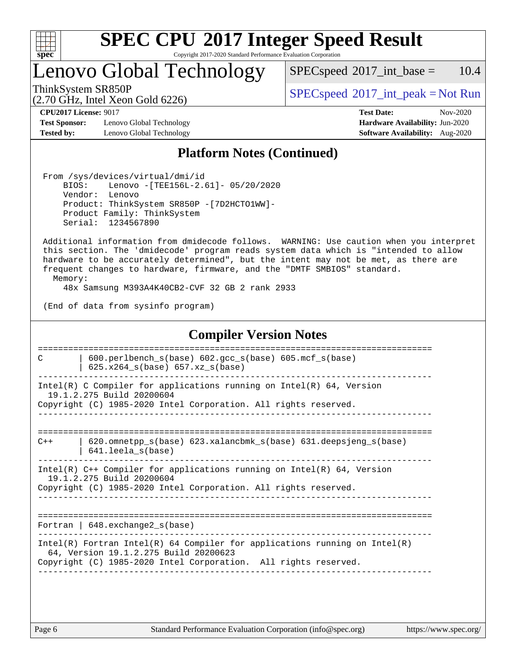

Copyright 2017-2020 Standard Performance Evaluation Corporation

Lenovo Global Technology

 $SPECspeed^{\circ}2017\_int\_base = 10.4$  $SPECspeed^{\circ}2017\_int\_base = 10.4$ 

(2.70 GHz, Intel Xeon Gold 6226)

ThinkSystem SR850P<br>  $SPEC speed^{\circ}2017\_int\_peak = Not Run$ 

**[Test Sponsor:](http://www.spec.org/auto/cpu2017/Docs/result-fields.html#TestSponsor)** Lenovo Global Technology **[Hardware Availability:](http://www.spec.org/auto/cpu2017/Docs/result-fields.html#HardwareAvailability)** Jun-2020 **[Tested by:](http://www.spec.org/auto/cpu2017/Docs/result-fields.html#Testedby)** Lenovo Global Technology **[Software Availability:](http://www.spec.org/auto/cpu2017/Docs/result-fields.html#SoftwareAvailability)** Aug-2020

**[CPU2017 License:](http://www.spec.org/auto/cpu2017/Docs/result-fields.html#CPU2017License)** 9017 **[Test Date:](http://www.spec.org/auto/cpu2017/Docs/result-fields.html#TestDate)** Nov-2020

### **[Platform Notes \(Continued\)](http://www.spec.org/auto/cpu2017/Docs/result-fields.html#PlatformNotes)**

 From /sys/devices/virtual/dmi/id BIOS: Lenovo -[TEE156L-2.61]- 05/20/2020 Vendor: Lenovo Product: ThinkSystem SR850P -[7D2HCTO1WW]- Product Family: ThinkSystem Serial: 1234567890

 Additional information from dmidecode follows. WARNING: Use caution when you interpret this section. The 'dmidecode' program reads system data which is "intended to allow hardware to be accurately determined", but the intent may not be met, as there are frequent changes to hardware, firmware, and the "DMTF SMBIOS" standard.

Memory:

48x Samsung M393A4K40CB2-CVF 32 GB 2 rank 2933

(End of data from sysinfo program)

### **[Compiler Version Notes](http://www.spec.org/auto/cpu2017/Docs/result-fields.html#CompilerVersionNotes)** ============================================================================== C | 600.perlbench\_s(base) 602.gcc\_s(base) 605.mcf\_s(base) | 625.x264  $s(base)$  657.xz  $s(base)$ ------------------------------------------------------------------------------ Intel(R) C Compiler for applications running on  $Intel(R) 64$ , Version 19.1.2.275 Build 20200604 Copyright (C) 1985-2020 Intel Corporation. All rights reserved. ------------------------------------------------------------------------------ ============================================================================== C++ | 620.omnetpp\_s(base) 623.xalancbmk\_s(base) 631.deepsjeng\_s(base) | 641.leela\_s(base) ------------------------------------------------------------------------------ Intel(R) C++ Compiler for applications running on Intel(R) 64, Version 19.1.2.275 Build 20200604 Copyright (C) 1985-2020 Intel Corporation. All rights reserved. ------------------------------------------------------------------------------ ============================================================================== Fortran | 648.exchange2\_s(base) ------------------------------------------------------------------------------ Intel(R) Fortran Intel(R) 64 Compiler for applications running on Intel(R) 64, Version 19.1.2.275 Build 20200623 Copyright (C) 1985-2020 Intel Corporation. All rights reserved. ------------------------------------------------------------------------------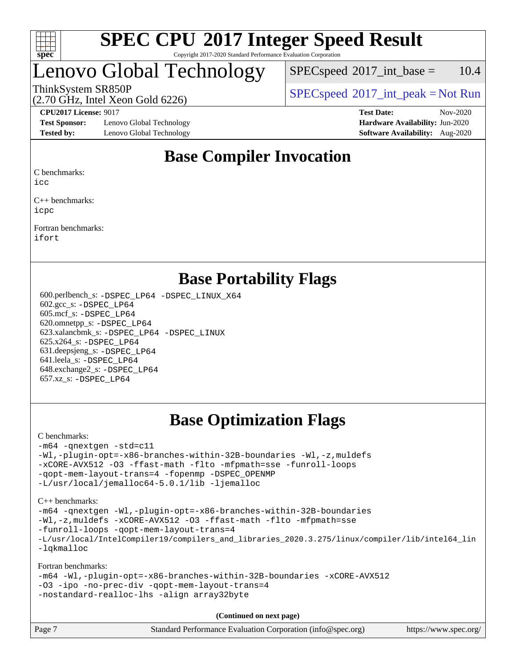

### **[SPEC CPU](http://www.spec.org/auto/cpu2017/Docs/result-fields.html#SPECCPU2017IntegerSpeedResult)[2017 Integer Speed Result](http://www.spec.org/auto/cpu2017/Docs/result-fields.html#SPECCPU2017IntegerSpeedResult)** Copyright 2017-2020 Standard Performance Evaluation Corporation

# Lenovo Global Technology

 $SPEC speed^{\circ}2017\_int\_base = 10.4$ 

(2.70 GHz, Intel Xeon Gold 6226)

ThinkSystem SR850P<br>  $SPEC speed^{\circ}2017\_int\_peak = Not Run$ 

**[Test Sponsor:](http://www.spec.org/auto/cpu2017/Docs/result-fields.html#TestSponsor)** Lenovo Global Technology **[Hardware Availability:](http://www.spec.org/auto/cpu2017/Docs/result-fields.html#HardwareAvailability)** Jun-2020 **[Tested by:](http://www.spec.org/auto/cpu2017/Docs/result-fields.html#Testedby)** Lenovo Global Technology **[Software Availability:](http://www.spec.org/auto/cpu2017/Docs/result-fields.html#SoftwareAvailability)** Aug-2020

**[CPU2017 License:](http://www.spec.org/auto/cpu2017/Docs/result-fields.html#CPU2017License)** 9017 **[Test Date:](http://www.spec.org/auto/cpu2017/Docs/result-fields.html#TestDate)** Nov-2020

## **[Base Compiler Invocation](http://www.spec.org/auto/cpu2017/Docs/result-fields.html#BaseCompilerInvocation)**

[C benchmarks:](http://www.spec.org/auto/cpu2017/Docs/result-fields.html#Cbenchmarks)

[icc](http://www.spec.org/cpu2017/results/res2020q4/cpu2017-20201207-24518.flags.html#user_CCbase_intel_icc_66fc1ee009f7361af1fbd72ca7dcefbb700085f36577c54f309893dd4ec40d12360134090235512931783d35fd58c0460139e722d5067c5574d8eaf2b3e37e92)

[C++ benchmarks](http://www.spec.org/auto/cpu2017/Docs/result-fields.html#CXXbenchmarks): [icpc](http://www.spec.org/cpu2017/results/res2020q4/cpu2017-20201207-24518.flags.html#user_CXXbase_intel_icpc_c510b6838c7f56d33e37e94d029a35b4a7bccf4766a728ee175e80a419847e808290a9b78be685c44ab727ea267ec2f070ec5dc83b407c0218cded6866a35d07)

[Fortran benchmarks:](http://www.spec.org/auto/cpu2017/Docs/result-fields.html#Fortranbenchmarks) [ifort](http://www.spec.org/cpu2017/results/res2020q4/cpu2017-20201207-24518.flags.html#user_FCbase_intel_ifort_8111460550e3ca792625aed983ce982f94888b8b503583aa7ba2b8303487b4d8a21a13e7191a45c5fd58ff318f48f9492884d4413fa793fd88dd292cad7027ca)

### **[Base Portability Flags](http://www.spec.org/auto/cpu2017/Docs/result-fields.html#BasePortabilityFlags)**

 600.perlbench\_s: [-DSPEC\\_LP64](http://www.spec.org/cpu2017/results/res2020q4/cpu2017-20201207-24518.flags.html#b600.perlbench_s_basePORTABILITY_DSPEC_LP64) [-DSPEC\\_LINUX\\_X64](http://www.spec.org/cpu2017/results/res2020q4/cpu2017-20201207-24518.flags.html#b600.perlbench_s_baseCPORTABILITY_DSPEC_LINUX_X64) 602.gcc\_s: [-DSPEC\\_LP64](http://www.spec.org/cpu2017/results/res2020q4/cpu2017-20201207-24518.flags.html#suite_basePORTABILITY602_gcc_s_DSPEC_LP64) 605.mcf\_s: [-DSPEC\\_LP64](http://www.spec.org/cpu2017/results/res2020q4/cpu2017-20201207-24518.flags.html#suite_basePORTABILITY605_mcf_s_DSPEC_LP64) 620.omnetpp\_s: [-DSPEC\\_LP64](http://www.spec.org/cpu2017/results/res2020q4/cpu2017-20201207-24518.flags.html#suite_basePORTABILITY620_omnetpp_s_DSPEC_LP64) 623.xalancbmk\_s: [-DSPEC\\_LP64](http://www.spec.org/cpu2017/results/res2020q4/cpu2017-20201207-24518.flags.html#suite_basePORTABILITY623_xalancbmk_s_DSPEC_LP64) [-DSPEC\\_LINUX](http://www.spec.org/cpu2017/results/res2020q4/cpu2017-20201207-24518.flags.html#b623.xalancbmk_s_baseCXXPORTABILITY_DSPEC_LINUX) 625.x264\_s: [-DSPEC\\_LP64](http://www.spec.org/cpu2017/results/res2020q4/cpu2017-20201207-24518.flags.html#suite_basePORTABILITY625_x264_s_DSPEC_LP64) 631.deepsjeng\_s: [-DSPEC\\_LP64](http://www.spec.org/cpu2017/results/res2020q4/cpu2017-20201207-24518.flags.html#suite_basePORTABILITY631_deepsjeng_s_DSPEC_LP64) 641.leela\_s: [-DSPEC\\_LP64](http://www.spec.org/cpu2017/results/res2020q4/cpu2017-20201207-24518.flags.html#suite_basePORTABILITY641_leela_s_DSPEC_LP64) 648.exchange2\_s: [-DSPEC\\_LP64](http://www.spec.org/cpu2017/results/res2020q4/cpu2017-20201207-24518.flags.html#suite_basePORTABILITY648_exchange2_s_DSPEC_LP64) 657.xz\_s: [-DSPEC\\_LP64](http://www.spec.org/cpu2017/results/res2020q4/cpu2017-20201207-24518.flags.html#suite_basePORTABILITY657_xz_s_DSPEC_LP64)

## **[Base Optimization Flags](http://www.spec.org/auto/cpu2017/Docs/result-fields.html#BaseOptimizationFlags)**

### [C benchmarks](http://www.spec.org/auto/cpu2017/Docs/result-fields.html#Cbenchmarks):

```
-m64 -qnextgen -std=c11
-Wl,-plugin-opt=-x86-branches-within-32B-boundaries -Wl,-z,muldefs
-xCORE-AVX512 -O3 -ffast-math -flto -mfpmath=sse -funroll-loops
-qopt-mem-layout-trans=4 -fopenmp -DSPEC_OPENMP
-L/usr/local/jemalloc64-5.0.1/lib -ljemalloc
```
[C++ benchmarks:](http://www.spec.org/auto/cpu2017/Docs/result-fields.html#CXXbenchmarks)

```
-m64 -qnextgen -Wl,-plugin-opt=-x86-branches-within-32B-boundaries
-Wl,-z,muldefs -xCORE-AVX512 -O3 -ffast-math -flto -mfpmath=sse
-funroll-loops -qopt-mem-layout-trans=4
-L/usr/local/IntelCompiler19/compilers_and_libraries_2020.3.275/linux/compiler/lib/intel64_lin
-lqkmalloc
```
[Fortran benchmarks:](http://www.spec.org/auto/cpu2017/Docs/result-fields.html#Fortranbenchmarks)

```
-m64 -Wl,-plugin-opt=-x86-branches-within-32B-boundaries -xCORE-AVX512
-O3 -ipo -no-prec-div -qopt-mem-layout-trans=4
-nostandard-realloc-lhs -align array32byte
```
**(Continued on next page)**

| Page 7 | Standard Performance Evaluation Corporation (info@spec.org) | https://www.spec.org/ |
|--------|-------------------------------------------------------------|-----------------------|